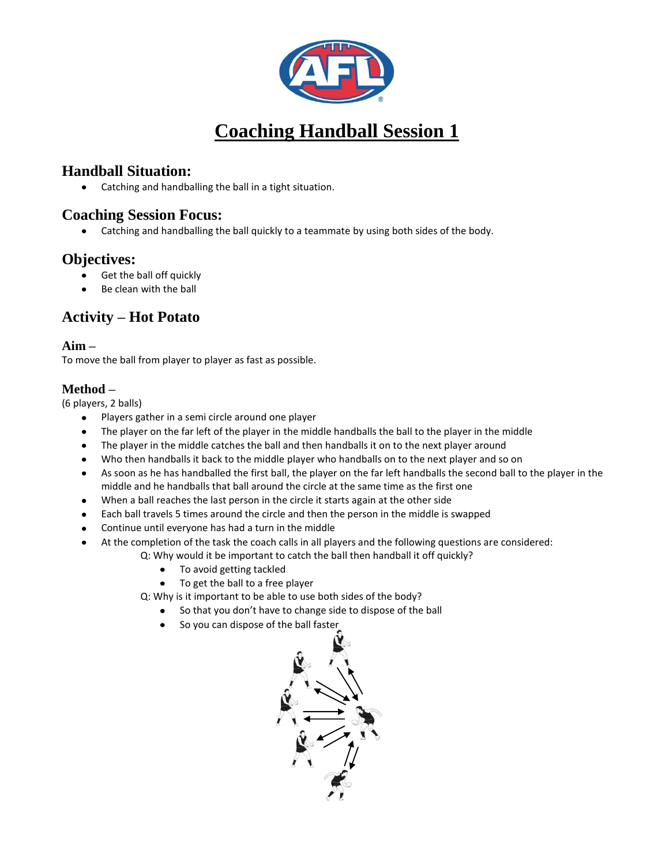

# **Coaching Handball Session 1**

# **Handball Situation:**

 $\bullet$ Catching and handballing the ball in a tight situation.

### **Coaching Session Focus:**

Catching and handballing the ball quickly to a teammate by using both sides of the body.

# **Objectives:**

- $\bullet$ Get the ball off quickly
- Be clean with the ball

# **Activity – Hot Potato**

#### **Aim –**

To move the ball from player to player as fast as possible.

#### **Method –**

(6 players, 2 balls)

- Players gather in a semi circle around one player  $\bullet$
- The player on the far left of the player in the middle handballs the ball to the player in the middle
- The player in the middle catches the ball and then handballs it on to the next player around
- Who then handballs it back to the middle player who handballs on to the next player and so on
- $\bullet$ As soon as he has handballed the first ball, the player on the far left handballs the second ball to the player in the middle and he handballs that ball around the circle at the same time as the first one
- When a ball reaches the last person in the circle it starts again at the other side
- Each ball travels 5 times around the circle and then the person in the middle is swapped
- Continue until everyone has had a turn in the middle
- At the completion of the task the coach calls in all players and the following questions are considered:
	- Q: Why would it be important to catch the ball then handball it off quickly?
		- To avoid getting tackled
		- To get the ball to a free player  $\bullet$
	- Q: Why is it important to be able to use both sides of the body?
		- So that you don't have to change side to dispose of the ball
		- So you can dispose of the ball faster